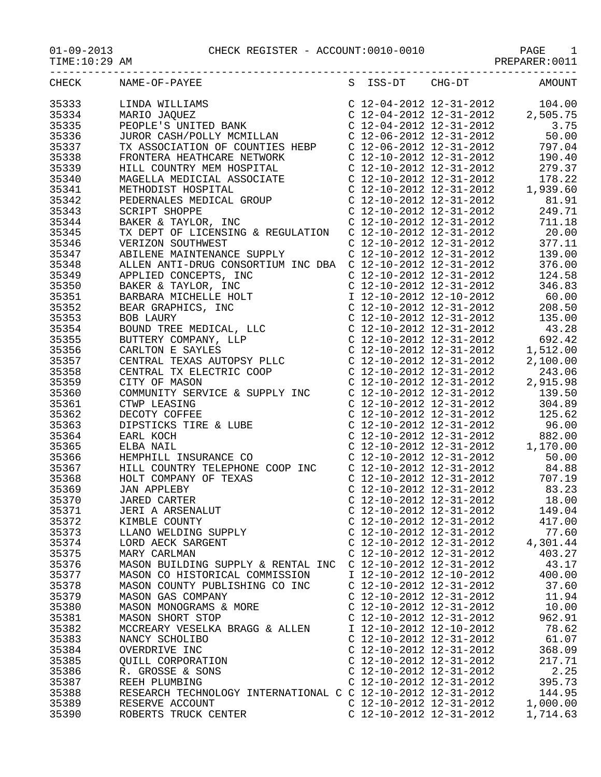01-09-2013 CHECK REGISTER - ACCOUNT:0010-0010 PAGE 1 -----------------------------------------------------------------------------------

35333 LINDA WILLIAMS C 12-04-2012 12-31-2012 104.00 35334 MARIO JAQUEZ C 12-04-2012 12-31-2012 2,505.75

| $01 - 09 - 2013$ |  |
|------------------|--|
|                  |  |

TIME:10:29 AM PREPARER:0011

| 35335 | PEOPLE'S UNITED BANK            | C 12-04-2012 12-31-2012 | 3.75   |
|-------|---------------------------------|-------------------------|--------|
| 35336 | JUROR CASH/POLLY MCMILLAN       | C 12-06-2012 12-31-2012 | 50.00  |
| 35337 | TX ASSOCIATION OF COUNTIES HEBP | C 12-06-2012 12-31-2012 | 797.04 |
| 35338 | FRONTERA HEATHCARE NETWORK      | C 12-10-2012 12-31-2012 | 190.40 |
| 35339 | HILL COUNTRY MEM HOSPITAL       | C 12-10-2012 12-31-2012 | 279.37 |
| 35340 | MAGELLA MEDICIAL ASSOCIATE      | C 12-10-2012 12-31-2012 | 178.22 |

S ISS-DT CHG-DT

| 35336 | JUROR CASH/POLLY MCMILLAN                                                                                                                                                                                                                        |                           | C 12-06-2012 12-31-2012                            | 50.00                                                                                                                                                                                                                                                                         |
|-------|--------------------------------------------------------------------------------------------------------------------------------------------------------------------------------------------------------------------------------------------------|---------------------------|----------------------------------------------------|-------------------------------------------------------------------------------------------------------------------------------------------------------------------------------------------------------------------------------------------------------------------------------|
| 35337 |                                                                                                                                                                                                                                                  |                           |                                                    |                                                                                                                                                                                                                                                                               |
| 35338 | FRONTERA HEATHCARE NETWORK C 12-10-2012 12-31-2012 190.40                                                                                                                                                                                        |                           |                                                    |                                                                                                                                                                                                                                                                               |
| 35339 |                                                                                                                                                                                                                                                  |                           |                                                    |                                                                                                                                                                                                                                                                               |
| 35340 |                                                                                                                                                                                                                                                  |                           |                                                    |                                                                                                                                                                                                                                                                               |
| 35341 |                                                                                                                                                                                                                                                  |                           |                                                    |                                                                                                                                                                                                                                                                               |
| 35342 |                                                                                                                                                                                                                                                  |                           |                                                    |                                                                                                                                                                                                                                                                               |
| 35343 | HILL COUNTRY MEM HOSPITAL<br>HILL COUNTRY MEM HOSPITAL<br>MAGELLA MEDICIAL ASSOCIATE<br>MAGELLA MEDICIAL ASSOCIATE<br>C 12-10-2012 12-31-2012<br>C 12-10-2012 12-31-2012<br>1,939.60<br>PEDERNALES MEDICAL GROUP<br>C 12-10-2012 12-31-2012<br>C |                           |                                                    |                                                                                                                                                                                                                                                                               |
| 35344 |                                                                                                                                                                                                                                                  |                           |                                                    |                                                                                                                                                                                                                                                                               |
| 35345 | TX DEPT OF LICENSING & REGULATION C 12-10-2012 12-31-2012                                                                                                                                                                                        |                           |                                                    | $\left. \begin{array}{llll} \mbox{C} & 12\hbox{-}10\hbox{-}2012 & 12\hbox{-}31\hbox{-}2012 & 20.00 \\ \mbox{C} & 12\hbox{-}10\hbox{-}2012 & 12\hbox{-}31\hbox{-}2012 & 377.11 \\ \mbox{C} & 12\hbox{-}10\hbox{-}2012 & 12\hbox{-}31\hbox{-}2012 & 139.00 \end{array} \right.$ |
| 35346 | VERIZON SOUTHWEST                                                                                                                                                                                                                                |                           |                                                    |                                                                                                                                                                                                                                                                               |
| 35347 | ABILENE MAINTENANCE SUPPLY                                                                                                                                                                                                                       |                           |                                                    |                                                                                                                                                                                                                                                                               |
| 35348 | ALLEN ANTI-DRUG CONSORTIUM INC DBA  C 12-10-2012 12-31-2012 376.00                                                                                                                                                                               |                           |                                                    |                                                                                                                                                                                                                                                                               |
| 35349 | ALLEN ANII-DROG CONSORTION INC BBA C 12-10-2012 12-31-2012<br>APLIED CONCEPTS, INC C 12-10-2012 12-31-2012<br>BAREAR MICHELLE HOLT I 2-10-2012 12-31-2012<br>BEAR GRAPHICS, INC C 12-10-2012 12-31-2012<br>BEAR GRAPHICS, INC C 12-10-           |                           |                                                    | $C$ 12-10-2012 12-31-2012 124.58                                                                                                                                                                                                                                              |
| 35350 |                                                                                                                                                                                                                                                  |                           |                                                    | 346.83                                                                                                                                                                                                                                                                        |
| 35351 |                                                                                                                                                                                                                                                  |                           |                                                    |                                                                                                                                                                                                                                                                               |
| 35352 |                                                                                                                                                                                                                                                  |                           |                                                    |                                                                                                                                                                                                                                                                               |
| 35353 |                                                                                                                                                                                                                                                  |                           |                                                    |                                                                                                                                                                                                                                                                               |
| 35354 |                                                                                                                                                                                                                                                  |                           |                                                    | 43.28                                                                                                                                                                                                                                                                         |
| 35355 |                                                                                                                                                                                                                                                  |                           |                                                    | 692.42                                                                                                                                                                                                                                                                        |
| 35356 |                                                                                                                                                                                                                                                  |                           |                                                    | 1,512.00                                                                                                                                                                                                                                                                      |
| 35357 |                                                                                                                                                                                                                                                  |                           |                                                    | 2,100.00                                                                                                                                                                                                                                                                      |
| 35358 |                                                                                                                                                                                                                                                  |                           |                                                    | 243.06                                                                                                                                                                                                                                                                        |
| 35359 |                                                                                                                                                                                                                                                  |                           |                                                    | 2,915.98                                                                                                                                                                                                                                                                      |
| 35360 |                                                                                                                                                                                                                                                  |                           |                                                    |                                                                                                                                                                                                                                                                               |
| 35361 |                                                                                                                                                                                                                                                  |                           | $C$ 12-10-2012 12-31-2012                          | 304.89                                                                                                                                                                                                                                                                        |
| 35362 |                                                                                                                                                                                                                                                  |                           |                                                    |                                                                                                                                                                                                                                                                               |
| 35363 |                                                                                                                                                                                                                                                  |                           |                                                    |                                                                                                                                                                                                                                                                               |
| 35364 |                                                                                                                                                                                                                                                  |                           |                                                    |                                                                                                                                                                                                                                                                               |
| 35365 | CTWP LEASING<br>DECOTY COFFEE<br>DIPSTICKS TIRE & LUBE<br>EARL KOCH<br>ELBA NAIL                                                                                                                                                                 |                           |                                                    | C 12-10-2012 12-31-2012 125.62<br>C 12-10-2012 12-31-2012 96.00<br>C 12-10-2012 12-31-2012 882.00<br>C 12-10-2012 12-31-2012 1,170.00                                                                                                                                         |
| 35366 | HEMPHILL INSURANCE CO                                                                                                                                                                                                                            |                           | C 12-10-2012 12-31-2012                            | 50.00                                                                                                                                                                                                                                                                         |
| 35367 | HILL COUNTRY TELEPHONE COOP INC                                                                                                                                                                                                                  |                           | $C$ 12-10-2012 12-31-2012                          | 84.88                                                                                                                                                                                                                                                                         |
| 35368 | HILL COONIRI IELEPHONE COOP INC<br>HOLT COMPANY OF TEXAS<br>JAN APPLEBY<br>JARED CARTER<br>JERI A ARSENALUT<br>KIMBLE COUNTY<br>LLANO WELDING SUPPLY<br>LORD AECK SARGENT<br>MARY CARLMAN                                                        |                           |                                                    | 707.19                                                                                                                                                                                                                                                                        |
| 35369 |                                                                                                                                                                                                                                                  |                           | C 12-10-2012 12-31-2012<br>C 12-10-2012 12-31-2012 | 83.23                                                                                                                                                                                                                                                                         |
| 35370 |                                                                                                                                                                                                                                                  |                           |                                                    | $C$ 12-10-2012 12-31-2012 18.00                                                                                                                                                                                                                                               |
| 35371 |                                                                                                                                                                                                                                                  |                           |                                                    | C $12-10-2012$ $12-31-2012$ $149.04$                                                                                                                                                                                                                                          |
| 35372 |                                                                                                                                                                                                                                                  |                           |                                                    |                                                                                                                                                                                                                                                                               |
| 35373 |                                                                                                                                                                                                                                                  |                           |                                                    | C $12-10-2012$ $12-31-2012$ 417.00                                                                                                                                                                                                                                            |
| 35374 |                                                                                                                                                                                                                                                  |                           |                                                    | $\begin{array}{cccc}\nC & 12-10-2012 & 12-31-2012 & & 77.60 \\ C & 12-10-2012 & 12-31-2012 & & 4,301.44\n\end{array}$                                                                                                                                                         |
| 35375 |                                                                                                                                                                                                                                                  |                           |                                                    | C 12-10-2012 12-31-2012 403.27                                                                                                                                                                                                                                                |
| 35376 | MASON BUILDING SUPPLY & RENTAL INC C 12-10-2012 12-31-2012                                                                                                                                                                                       |                           |                                                    | 43.17                                                                                                                                                                                                                                                                         |
| 35377 | MASON CO HISTORICAL COMMISSION                                                                                                                                                                                                                   |                           | I 12-10-2012 12-10-2012                            | 400.00                                                                                                                                                                                                                                                                        |
| 35378 | MASON COUNTY PUBLISHING CO INC                                                                                                                                                                                                                   | C 12-10-2012 12-31-2012   |                                                    | 37.60                                                                                                                                                                                                                                                                         |
| 35379 | MASON GAS COMPANY                                                                                                                                                                                                                                | C 12-10-2012 12-31-2012   |                                                    | 11.94                                                                                                                                                                                                                                                                         |
| 35380 | MASON MONOGRAMS & MORE                                                                                                                                                                                                                           | C 12-10-2012 12-31-2012   |                                                    | 10.00                                                                                                                                                                                                                                                                         |
| 35381 | MASON SHORT STOP                                                                                                                                                                                                                                 | C 12-10-2012 12-31-2012   |                                                    | 962.91                                                                                                                                                                                                                                                                        |
| 35382 | MCCREARY VESELKA BRAGG & ALLEN                                                                                                                                                                                                                   | I 12-10-2012 12-10-2012   |                                                    | 78.62                                                                                                                                                                                                                                                                         |
| 35383 | NANCY SCHOLIBO                                                                                                                                                                                                                                   | C 12-10-2012 12-31-2012   |                                                    | 61.07                                                                                                                                                                                                                                                                         |
| 35384 | OVERDRIVE INC                                                                                                                                                                                                                                    | C 12-10-2012 12-31-2012   |                                                    | 368.09                                                                                                                                                                                                                                                                        |
| 35385 |                                                                                                                                                                                                                                                  | C 12-10-2012 12-31-2012   |                                                    | 217.71                                                                                                                                                                                                                                                                        |
| 35386 | QUILL CORPORATION<br>R. GROSSE & SONS                                                                                                                                                                                                            | C 12-10-2012 12-31-2012   |                                                    | 2.25                                                                                                                                                                                                                                                                          |
| 35387 | REEH PLUMBING                                                                                                                                                                                                                                    | $C$ 12-10-2012 12-31-2012 |                                                    | 395.73                                                                                                                                                                                                                                                                        |
| 35388 | RESEARCH TECHNOLOGY INTERNATIONAL C C 12-10-2012 12-31-2012                                                                                                                                                                                      |                           |                                                    | 144.95                                                                                                                                                                                                                                                                        |
| 35389 | RESERVE ACCOUNT                                                                                                                                                                                                                                  | C 12-10-2012 12-31-2012   |                                                    |                                                                                                                                                                                                                                                                               |
| 35390 | ROBERTS TRUCK CENTER                                                                                                                                                                                                                             | C 12-10-2012 12-31-2012   |                                                    | 1,000.00<br>1,714.63                                                                                                                                                                                                                                                          |
|       |                                                                                                                                                                                                                                                  |                           |                                                    |                                                                                                                                                                                                                                                                               |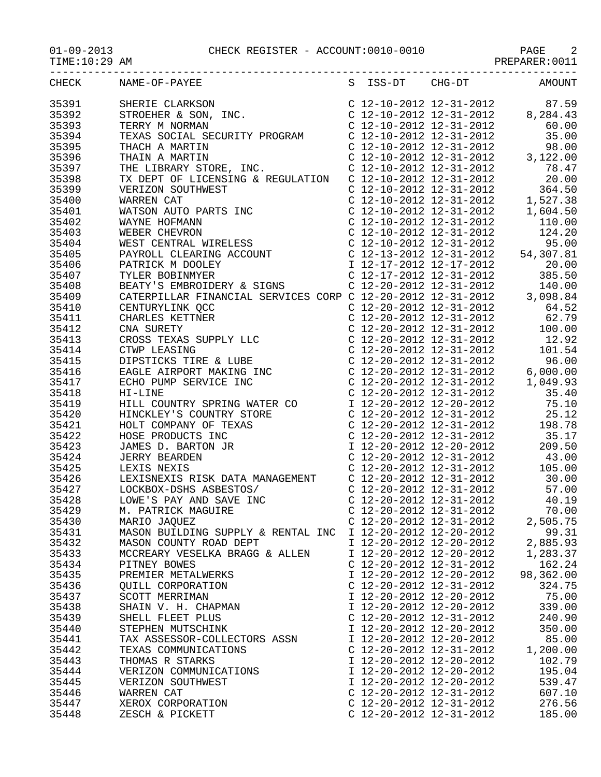| $01 - 09 - 2013$ |  |  |
|------------------|--|--|
|                  |  |  |

| $01 - 09 - 2013$<br>TIME:10:29 AM | CHECK REGISTER - ACCOUNT:0010-0010<br>PAGE<br>PREPARER:0011 |  |
|-----------------------------------|-------------------------------------------------------------|--|
|                                   |                                                             |  |

| CHECK                   | NAME-OF-PAYEE                                                           | S ISS-DT                  | $CHG-DT$ | AMOUNT                                                                                                                                                                        |
|-------------------------|-------------------------------------------------------------------------|---------------------------|----------|-------------------------------------------------------------------------------------------------------------------------------------------------------------------------------|
| 35391                   |                                                                         |                           |          |                                                                                                                                                                               |
| 35392                   |                                                                         |                           |          |                                                                                                                                                                               |
| 35393                   |                                                                         |                           |          |                                                                                                                                                                               |
| 35394                   |                                                                         |                           |          |                                                                                                                                                                               |
| 35395                   |                                                                         |                           |          |                                                                                                                                                                               |
| 35396                   |                                                                         |                           |          |                                                                                                                                                                               |
| 35397                   |                                                                         |                           |          |                                                                                                                                                                               |
| 35398                   |                                                                         |                           |          |                                                                                                                                                                               |
| 35399                   |                                                                         |                           |          |                                                                                                                                                                               |
| 35400                   |                                                                         |                           |          |                                                                                                                                                                               |
| 35401                   |                                                                         |                           |          |                                                                                                                                                                               |
| 35402                   |                                                                         |                           |          |                                                                                                                                                                               |
| 35403                   |                                                                         |                           |          |                                                                                                                                                                               |
|                         |                                                                         |                           |          |                                                                                                                                                                               |
| 35404                   |                                                                         |                           |          |                                                                                                                                                                               |
| 35405                   |                                                                         |                           |          |                                                                                                                                                                               |
| 35406                   |                                                                         |                           |          |                                                                                                                                                                               |
| 35407                   |                                                                         |                           |          |                                                                                                                                                                               |
| 35408                   |                                                                         |                           |          |                                                                                                                                                                               |
| 35409                   |                                                                         |                           |          |                                                                                                                                                                               |
| 35410                   |                                                                         |                           |          |                                                                                                                                                                               |
| 35411                   |                                                                         |                           |          |                                                                                                                                                                               |
| 35412                   |                                                                         |                           |          |                                                                                                                                                                               |
| 35413                   |                                                                         |                           |          |                                                                                                                                                                               |
| 35414                   |                                                                         |                           |          |                                                                                                                                                                               |
| 35415                   |                                                                         |                           |          |                                                                                                                                                                               |
| 35416                   |                                                                         |                           |          |                                                                                                                                                                               |
| 35417                   |                                                                         |                           |          |                                                                                                                                                                               |
| 35418                   |                                                                         |                           |          |                                                                                                                                                                               |
| 35419                   |                                                                         |                           |          |                                                                                                                                                                               |
| 35420                   |                                                                         |                           |          |                                                                                                                                                                               |
| 35421                   |                                                                         |                           |          |                                                                                                                                                                               |
| 35422                   |                                                                         |                           |          |                                                                                                                                                                               |
| 35423                   |                                                                         |                           |          |                                                                                                                                                                               |
| 35424                   |                                                                         |                           |          |                                                                                                                                                                               |
| 35425                   |                                                                         |                           |          |                                                                                                                                                                               |
| 35426                   |                                                                         |                           |          |                                                                                                                                                                               |
| 35427<br>35428<br>35429 | LOCKBOX-DSHS ASBESTOS/<br>LOWE'S PAY AND SAVE INC<br>M. PATRICK MAGUIRE |                           |          | $\left( \begin{array}{ccc} 12 - 20 - 2012 & 12 - 31 - 2012 & 57.00 \\ 12 - 20 - 2012 & 12 - 31 - 2012 & 40.19 \\ 12 - 20 - 2012 & 12 - 31 - 2012 & 70.00 \end{array} \right)$ |
|                         |                                                                         |                           |          |                                                                                                                                                                               |
| 35429                   |                                                                         |                           |          |                                                                                                                                                                               |
| 35430                   | MARIO JAQUEZ                                                            | C 12-20-2012 12-31-2012   |          | 2,505.75                                                                                                                                                                      |
| 35431                   | MASON BUILDING SUPPLY & RENTAL INC                                      | I 12-20-2012 12-20-2012   |          | 99.31                                                                                                                                                                         |
| 35432                   | MASON COUNTY ROAD DEPT                                                  | I 12-20-2012 12-20-2012   |          | 2,885.93                                                                                                                                                                      |
| 35433                   | MCCREARY VESELKA BRAGG & ALLEN                                          | I 12-20-2012 12-20-2012   |          | 1,283.37                                                                                                                                                                      |
| 35434                   | PITNEY BOWES                                                            | C 12-20-2012 12-31-2012   |          | 162.24                                                                                                                                                                        |
| 35435                   | PREMIER METALWERKS                                                      | I 12-20-2012 12-20-2012   |          | 98,362.00                                                                                                                                                                     |
| 35436                   | QUILL CORPORATION                                                       | $C$ 12-20-2012 12-31-2012 |          | 324.75                                                                                                                                                                        |
| 35437                   | SCOTT MERRIMAN                                                          | I 12-20-2012 12-20-2012   |          | 75.00                                                                                                                                                                         |
| 35438                   | SHAIN V. H. CHAPMAN                                                     | I 12-20-2012 12-20-2012   |          | 339.00                                                                                                                                                                        |
| 35439                   | SHELL FLEET PLUS                                                        | C 12-20-2012 12-31-2012   |          | 240.90                                                                                                                                                                        |
| 35440                   | STEPHEN MUTSCHINK                                                       | I 12-20-2012 12-20-2012   |          | 350.00                                                                                                                                                                        |
| 35441                   | TAX ASSESSOR-COLLECTORS ASSN                                            | I 12-20-2012 12-20-2012   |          | 85.00                                                                                                                                                                         |
| 35442                   | TEXAS COMMUNICATIONS                                                    | $C$ 12-20-2012 12-31-2012 |          | 1,200.00                                                                                                                                                                      |
| 35443                   | THOMAS R STARKS                                                         | I 12-20-2012 12-20-2012   |          | 102.79                                                                                                                                                                        |
| 35444                   | VERIZON COMMUNICATIONS                                                  | I 12-20-2012 12-20-2012   |          | 195.04                                                                                                                                                                        |
|                         | VERIZON SOUTHWEST                                                       |                           |          |                                                                                                                                                                               |
| 35445                   |                                                                         | I 12-20-2012 12-20-2012   |          | 539.47                                                                                                                                                                        |
| 35446                   | WARREN CAT                                                              | $C$ 12-20-2012 12-31-2012 |          | 607.10                                                                                                                                                                        |
| 35447                   | XEROX CORPORATION                                                       | C 12-20-2012 12-31-2012   |          | 276.56                                                                                                                                                                        |
| 35448                   | ZESCH & PICKETT                                                         | C 12-20-2012 12-31-2012   |          | 185.00                                                                                                                                                                        |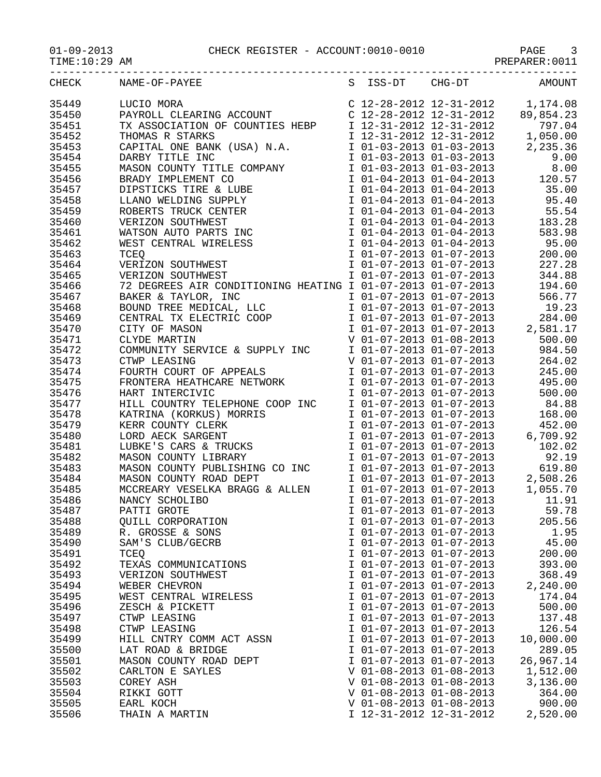| TIME: 10:29 AM |                                                                            |                                                    | PREPARER: 0011                                                                                                                                                                                           |
|----------------|----------------------------------------------------------------------------|----------------------------------------------------|----------------------------------------------------------------------------------------------------------------------------------------------------------------------------------------------------------|
| CHECK          | NAME-OF-PAYEE                                                              | S ISS-DT CHG-DT                                    | <b>AMOUNT</b>                                                                                                                                                                                            |
| 35449          | LUCIO MORA                                                                 |                                                    |                                                                                                                                                                                                          |
| 35450          | PAYROLL CLEARING ACCOUNT                                                   |                                                    | $\begin{array}{cccc} \text{C} & 12\text{--}28\text{--}2012 & 12\text{--}31\text{--}2012 & 1,174.08 \\ \text{C} & 12\text{--}28\text{--}2012 & 12\text{--}31\text{--}2012 & 89\text{,}854.23 \end{array}$ |
| 35451          | TX ASSOCIATION OF COUNTIES HEBP                                            | I 12-31-2012 12-31-2012                            | 797.04                                                                                                                                                                                                   |
|                |                                                                            |                                                    |                                                                                                                                                                                                          |
| 35452          | THOMAS R STARKS                                                            | I 12-31-2012 12-31-2012                            | 1,050.00                                                                                                                                                                                                 |
| 35453          | CAPITAL ONE BANK (USA) N.A.                                                | I 01-03-2013 01-03-2013                            | 2,235.36                                                                                                                                                                                                 |
| 35454          | DARBY TITLE INC                                                            | I 01-03-2013 01-03-2013                            | 9.00                                                                                                                                                                                                     |
| 35455          | MASON COUNTY TITLE COMPANY                                                 | I 01-03-2013 01-03-2013                            | 8.00                                                                                                                                                                                                     |
| 35456          | BRADY IMPLEMENT CO                                                         | I 01-04-2013 01-04-2013                            | 120.57                                                                                                                                                                                                   |
| 35457          | DIPSTICKS TIRE & LUBE                                                      | I 01-04-2013 01-04-2013                            | 35.00                                                                                                                                                                                                    |
| 35458          | LLANO WELDING SUPPLY                                                       | I 01-04-2013 01-04-2013                            | 95.40                                                                                                                                                                                                    |
| 35459          | ROBERTS TRUCK CENTER                                                       | I 01-04-2013 01-04-2013                            | 55.54                                                                                                                                                                                                    |
| 35460          | VERIZON SOUTHWEST                                                          | $\frac{1}{1}$ 01-04-2013 01-04-2013                | 183.28                                                                                                                                                                                                   |
| 35461          | WATSON AUTO PARTS INC                                                      | I 01-04-2013 01-04-2013                            | 583.98                                                                                                                                                                                                   |
| 35462          | WEST CENTRAL WIRELESS                                                      | I 01-04-2013 01-04-2013                            | 95.00                                                                                                                                                                                                    |
| 35463          | <b>TCEO</b>                                                                | I 01-07-2013 01-07-2013                            | 200.00                                                                                                                                                                                                   |
| 35464          | VERIZON SOUTHWEST                                                          | I 01-07-2013 01-07-2013                            | 227.28                                                                                                                                                                                                   |
| 35465          | VERIZON SOUTHWEST                                                          | I 01-07-2013 01-07-2013                            | 344.88                                                                                                                                                                                                   |
| 35466          | 72 DEGREES AIR CONDITIONING HEATING I 01-07-2013 01-07-2013                |                                                    | 194.60                                                                                                                                                                                                   |
| 35467          |                                                                            | I 01-07-2013 01-07-2013                            | 566.77                                                                                                                                                                                                   |
|                | DANEK & TAYLOR, INC<br>BOUND TREE MEDICAL, LLC<br>CENTRAL TY ELEGENTS SAAR |                                                    |                                                                                                                                                                                                          |
| 35468          |                                                                            | I 01-07-2013 01-07-2013                            | 19.23                                                                                                                                                                                                    |
| 35469          | CENTRAL TX ELECTRIC COOP                                                   | I 01-07-2013 01-07-2013                            | 284.00                                                                                                                                                                                                   |
| 35470          | CITY OF MASON                                                              | I 01-07-2013 01-07-2013                            | 2,581.17                                                                                                                                                                                                 |
| 35471          | CLYDE MARTIN                                                               | V 01-07-2013 01-08-2013<br>I 01-07-2013 01-07-2013 | 500.00                                                                                                                                                                                                   |
| 35472          | COMMUNITY SERVICE & SUPPLY INC                                             |                                                    | 984.50                                                                                                                                                                                                   |
| 35473          | CTWP LEASING                                                               | V 01-07-2013 01-07-2013                            | 264.02                                                                                                                                                                                                   |
| 35474          | FOURTH COURT OF APPEALS                                                    | I 01-07-2013 01-07-2013                            | 245.00                                                                                                                                                                                                   |
| 35475          | FRONTERA HEATHCARE NETWORK                                                 | I 01-07-2013 01-07-2013                            | 495.00                                                                                                                                                                                                   |
| 35476          | HART INTERCIVIC                                                            | I 01-07-2013 01-07-2013                            | 500.00                                                                                                                                                                                                   |
| 35477          | HILL COUNTRY TELEPHONE COOP INC                                            | I 01-07-2013 01-07-2013                            | 84.88                                                                                                                                                                                                    |
| 35478          | KATRINA (KORKUS) MORRIS                                                    | I 01-07-2013 01-07-2013                            | 168.00                                                                                                                                                                                                   |
| 35479          | KERR COUNTY CLERK                                                          | I 01-07-2013 01-07-2013                            | 452.00                                                                                                                                                                                                   |
| 35480          | LORD AECK SARGENT                                                          | I 01-07-2013 01-07-2013                            | 6,709.92                                                                                                                                                                                                 |
| 35481          | LUBKE'S CARS & TRUCKS                                                      | I 01-07-2013 01-07-2013                            | 102.02                                                                                                                                                                                                   |
| 35482          | MASON COUNTY LIBRARY                                                       | I 01-07-2013 01-07-2013                            | 92.19                                                                                                                                                                                                    |
| 35483          | MASON COUNTY PUBLISHING CO INC                                             | I $01-07-2013$ $01-07-2013$                        | 619.80                                                                                                                                                                                                   |
| 35484          | MASON COUNTY ROAD DEPT                                                     | $1\ 01-07-2013\ 01-07-2013$                        | 2,508.26                                                                                                                                                                                                 |
|                |                                                                            |                                                    |                                                                                                                                                                                                          |
| 35485          | MCCREARY VESELKA BRAGG & ALLEN                                             | I 01-07-2013 01-07-2013                            | 1,055.70                                                                                                                                                                                                 |
| 35486          | NANCY SCHOLIBO                                                             | I 01-07-2013 01-07-2013                            | 11.91                                                                                                                                                                                                    |
| 35487          | PATTI GROTE                                                                | I 01-07-2013 01-07-2013                            | 59.78                                                                                                                                                                                                    |
| 35488          | <b>OUILL CORPORATION</b>                                                   | I 01-07-2013 01-07-2013                            | 205.56                                                                                                                                                                                                   |
| 35489          | R. GROSSE & SONS                                                           | I 01-07-2013 01-07-2013                            | 1.95                                                                                                                                                                                                     |
| 35490          | SAM'S CLUB/GECRB                                                           | I 01-07-2013 01-07-2013                            | 45.00                                                                                                                                                                                                    |
| 35491          | TCEQ                                                                       | I 01-07-2013 01-07-2013                            | 200.00                                                                                                                                                                                                   |
| 35492          | TEXAS COMMUNICATIONS                                                       | I 01-07-2013 01-07-2013                            | 393.00                                                                                                                                                                                                   |
| 35493          | VERIZON SOUTHWEST                                                          | I 01-07-2013 01-07-2013                            | 368.49                                                                                                                                                                                                   |
| 35494          | WEBER CHEVRON                                                              | I 01-07-2013 01-07-2013                            | 2,240.00                                                                                                                                                                                                 |
| 35495          | WEST CENTRAL WIRELESS                                                      | I 01-07-2013 01-07-2013                            | 174.04                                                                                                                                                                                                   |
| 35496          | ZESCH & PICKETT                                                            | I 01-07-2013 01-07-2013                            | 500.00                                                                                                                                                                                                   |
| 35497          | CTWP LEASING                                                               | I 01-07-2013 01-07-2013                            | 137.48                                                                                                                                                                                                   |
| 35498          | CTWP LEASING                                                               | I 01-07-2013 01-07-2013                            | 126.54                                                                                                                                                                                                   |
| 35499          | HILL CNTRY COMM ACT ASSN                                                   | I 01-07-2013 01-07-2013                            | 10,000.00                                                                                                                                                                                                |
| 35500          | LAT ROAD & BRIDGE                                                          | I 01-07-2013 01-07-2013                            | 289.05                                                                                                                                                                                                   |
| 35501          | MASON COUNTY ROAD DEPT                                                     | I 01-07-2013 01-07-2013                            | 26,967.14                                                                                                                                                                                                |
| 35502          | CARLTON E SAYLES                                                           | V 01-08-2013 01-08-2013                            | 1,512.00                                                                                                                                                                                                 |
|                |                                                                            | V 01-08-2013 01-08-2013                            |                                                                                                                                                                                                          |
| 35503          | COREY ASH                                                                  |                                                    | 3,136.00                                                                                                                                                                                                 |
| 35504          | RIKKI GOTT                                                                 | V 01-08-2013 01-08-2013                            | 364.00                                                                                                                                                                                                   |
| 35505          | EARL KOCH                                                                  | V 01-08-2013 01-08-2013                            | 900.00                                                                                                                                                                                                   |
| 35506          | THAIN A MARTIN                                                             | I 12-31-2012 12-31-2012                            | 2,520.00                                                                                                                                                                                                 |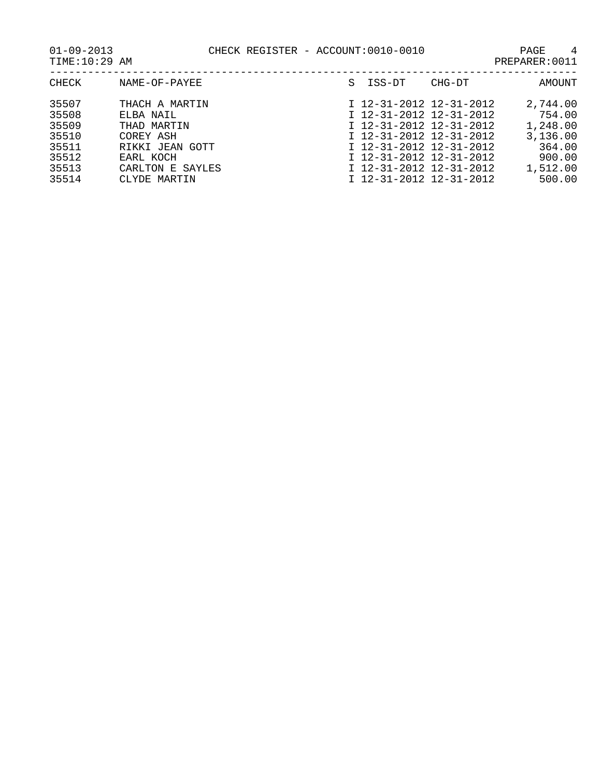| CHECK | NAME-OF-PAYEE    | S | ISS-DT                    | CHG-DT | AMOUNT   |
|-------|------------------|---|---------------------------|--------|----------|
| 35507 | THACH A MARTIN   |   | I 12-31-2012 12-31-2012   |        | 2,744.00 |
| 35508 | ELBA NAIL        |   | I 12-31-2012 12-31-2012   |        | 754.00   |
| 35509 | THAD MARTIN      |   | $I$ 12-31-2012 12-31-2012 |        | 1,248.00 |
| 35510 | COREY ASH        |   | I 12-31-2012 12-31-2012   |        | 3,136.00 |
| 35511 | RIKKI JEAN GOTT  |   | I 12-31-2012 12-31-2012   |        | 364.00   |
| 35512 | EARL KOCH        |   | I 12-31-2012 12-31-2012   |        | 900.00   |
| 35513 | CARLTON E SAYLES |   | I 12-31-2012 12-31-2012   |        | 1,512.00 |
| 35514 | CLYDE MARTIN     |   | I 12-31-2012 12-31-2012   |        | 500.00   |
|       |                  |   |                           |        |          |